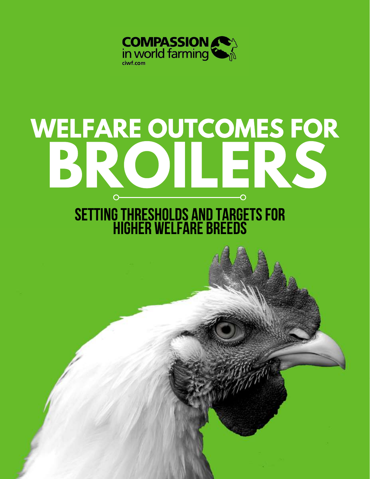

# WELFARE OUTCOMES FOR  $\overline{O}$

## SETTING THRESHOLDS AND TARGETS FOR<br>HIGHER WELFARE BREEDS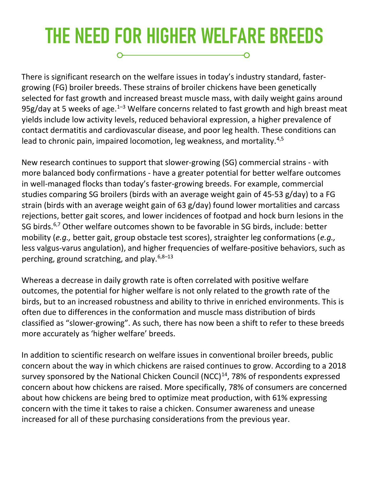#### THE NEED FOR HIGHER WELFARE BREEDS O--0

There is significant research on the welfare issues in today's industry standard, fastergrowing (FG) broiler breeds. These strains of broiler chickens have been genetically selected for fast growth and increased breast muscle mass, with daily weight gains around 95g/day at 5 weeks of age. $1-3$  Welfare concerns related to fast growth and high breast meat yields include low activity levels, reduced behavioral expression, a higher prevalence of contact dermatitis and cardiovascular disease, and poor leg health. These conditions can lead to chronic pain, impaired locomotion, leg weakness, and mortality.<sup>4,5</sup>

New research continues to support that slower-growing (SG) commercial strains - with more balanced body confirmations - have a greater potential for better welfare outcomes in well-managed flocks than today's faster-growing breeds. For example, commercial studies comparing SG broilers (birds with an average weight gain of 45-53 g/day) to a FG strain (birds with an average weight gain of 63 g/day) found lower mortalities and carcass rejections, better gait scores, and lower incidences of footpad and hock burn lesions in the SG birds.<sup>6,7</sup> Other welfare outcomes shown to be favorable in SG birds, include: better mobility (e.g., better gait, group obstacle test scores), straighter leg conformations (e.g., less valgus-varus angulation), and higher frequencies of welfare-positive behaviors, such as perching, ground scratching, and play.<sup>6,8-13</sup>

Whereas a decrease in daily growth rate is often correlated with positive welfare outcomes, the potential for higher welfare is not only related to the growth rate of the birds, but to an increased robustness and ability to thrive in enriched environments. This is often due to differences in the conformation and muscle mass distribution of birds classified as "slower-growing". As such, there has now been a shift to refer to these breeds more accurately as 'higher welfare' breeds.

In addition to scientific research on welfare issues in conventional broiler breeds, public concern about the way in which chickens are raised continues to grow. According to a 2018 survey sponsored by the National Chicken Council (NCC) $<sup>14</sup>$ , 78% of respondents expressed</sup> concern about how chickens are raised. More specifically, 78% of consumers are concerned about how chickens are being bred to optimize meat production, with 61% expressing concern with the time it takes to raise a chicken. Consumer awareness and unease increased for all of these purchasing considerations from the previous year.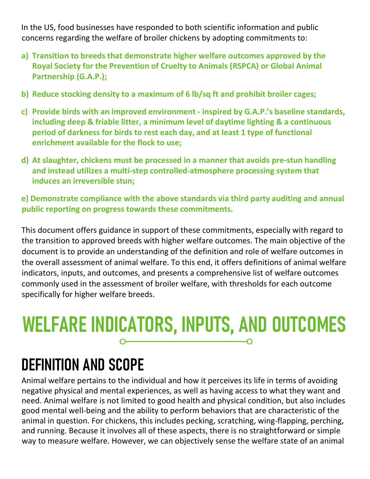In the US, food businesses have responded to both scientific information and public concerns regarding the welfare of broiler chickens by adopting commitments to:

- a) Transition to breeds that demonstrate higher welfare outcomes approved by the Royal Society for the Prevention of Cruelty to Animals (RSPCA) or Global Animal Partnership (G.A.P.);
- b) Reduce stocking density to a maximum of 6 lb/sq ft and prohibit broiler cages;
- c) Provide birds with an improved environment inspired by G.A.P.'s baseline standards, including deep & friable litter, a minimum level of daytime lighting & a continuous period of darkness for birds to rest each day, and at least 1 type of functional enrichment available for the flock to use;
- d) At slaughter, chickens must be processed in a manner that avoids pre-stun handling and instead utilizes a multi-step controlled-atmosphere processing system that induces an irreversible stun;

#### e) Demonstrate compliance with the above standards via third party auditing and annual public reporting on progress towards these commitments.

This document offers guidance in support of these commitments, especially with regard to the transition to approved breeds with higher welfare outcomes. The main objective of the document is to provide an understanding of the definition and role of welfare outcomes in the overall assessment of animal welfare. To this end, it offers definitions of animal welfare indicators, inputs, and outcomes, and presents a comprehensive list of welfare outcomes commonly used in the assessment of broiler welfare, with thresholds for each outcome specifically for higher welfare breeds.

## WELFARE INDICATORS, INPUTS, AND OUTCOMES

### DEFINITION AND SCOPE

Animal welfare pertains to the individual and how it perceives its life in terms of avoiding negative physical and mental experiences, as well as having access to what they want and need. Animal welfare is not limited to good health and physical condition, but also includes good mental well-being and the ability to perform behaviors that are characteristic of the animal in question. For chickens, this includes pecking, scratching, wing-flapping, perching, and running. Because it involves all of these aspects, there is no straightforward or simple way to measure welfare. However, we can objectively sense the welfare state of an animal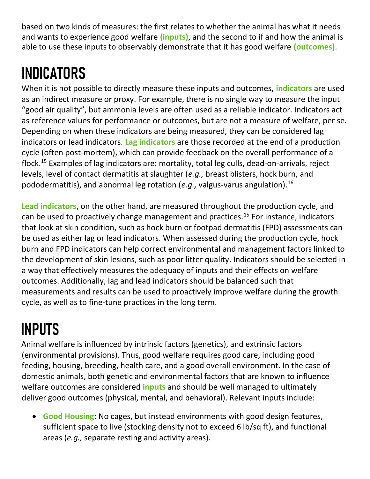based on two kinds of measures: the first relates to whether the animal has what it needs and wants to experience good welfare (*inputs*), and the second to if and how the animal is able to use these inputs to observably demonstrate that it has good welfare (outcomes).

## INDICATORS

When it is not possible to directly measure these inputs and outcomes, *indicators* are used as an indirect measure or proxy. For example, there is no single way to measure the input "good air quality", but ammonia levels are often used as a reliable indicator. Indicators act as reference values for performance or outcomes, but are not a measure of welfare, per se. Depending on when these indicators are being measured, they can be considered lag indicators or lead indicators. Lag indicators are those recorded at the end of a production cycle (often post-mortem), which can provide feedback on the overall performance of a flock.<sup>15</sup> Examples of lag indicators are: mortality, total leg culls, dead-on-arrivals, reject levels, level of contact dermatitis at slaughter (e.g., breast blisters, hock burn, and pododermatitis), and abnormal leg rotation (e.g., valgus-varus angulation).<sup>16</sup>

Lead indicators, on the other hand, are measured throughout the production cycle, and can be used to proactively change management and practices.<sup>15</sup> For instance, indicators that look at skin condition, such as hock burn or footpad dermatitis (FPD) assessments can be used as either lag or lead indicators. When assessed during the production cycle, hock burn and FPD indicators can help correct environmental and management factors linked to the development of skin lesions, such as poor litter quality. Indicators should be selected in a way that effectively measures the adequacy of inputs and their effects on welfare outcomes. Additionally, lag and lead indicators should be balanced such that measurements and results can be used to proactively improve welfare during the growth cycle, as well as to fine-tune practices in the long term.

## INPUTS

Animal welfare is influenced by intrinsic factors (genetics), and extrinsic factors (environmental provisions). Thus, good welfare requires good care, including good feeding, housing, breeding, health care, and a good overall environment. In the case of domestic animals, both genetic and environmental factors that are known to influence welfare outcomes are considered **inputs** and should be well managed to ultimately deliver good outcomes (physical, mental, and behavioral). Relevant inputs include:

• Good Housing: No cages, but instead environments with good design features, sufficient space to live (stocking density not to exceed 6 lb/sq ft), and functional areas (e.g., separate resting and activity areas).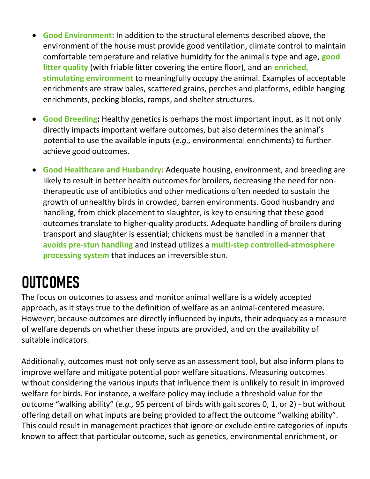- **Good Environment:** In addition to the structural elements described above, the environment of the house must provide good ventilation, climate control to maintain comfortable temperature and relative humidity for the animal's type and age, good litter quality (with friable litter covering the entire floor), and an enriched, stimulating environment to meaningfully occupy the animal. Examples of acceptable enrichments are straw bales, scattered grains, perches and platforms, edible hanging enrichments, pecking blocks, ramps, and shelter structures.
- Good Breeding: Healthy genetics is perhaps the most important input, as it not only directly impacts important welfare outcomes, but also determines the animal's potential to use the available inputs (e.g., environmental enrichments) to further achieve good outcomes.
- Good Healthcare and Husbandry: Adequate housing, environment, and breeding are likely to result in better health outcomes for broilers, decreasing the need for nontherapeutic use of antibiotics and other medications often needed to sustain the growth of unhealthy birds in crowded, barren environments. Good husbandry and handling, from chick placement to slaughter, is key to ensuring that these good outcomes translate to higher-quality products. Adequate handling of broilers during transport and slaughter is essential; chickens must be handled in a manner that avoids pre-stun handling and instead utilizes a multi-step controlled-atmosphere processing system that induces an irreversible stun.

## **OUTCOMES**

The focus on outcomes to assess and monitor animal welfare is a widely accepted approach, as it stays true to the definition of welfare as an animal-centered measure. However, because outcomes are directly influenced by inputs, their adequacy as a measure of welfare depends on whether these inputs are provided, and on the availability of suitable indicators.

Additionally, outcomes must not only serve as an assessment tool, but also inform plans to improve welfare and mitigate potential poor welfare situations. Measuring outcomes without considering the various inputs that influence them is unlikely to result in improved welfare for birds. For instance, a welfare policy may include a threshold value for the outcome "walking ability" (e.g., 95 percent of birds with gait scores 0, 1, or 2) - but without offering detail on what inputs are being provided to affect the outcome "walking ability". This could result in management practices that ignore or exclude entire categories of inputs known to affect that particular outcome, such as genetics, environmental enrichment, or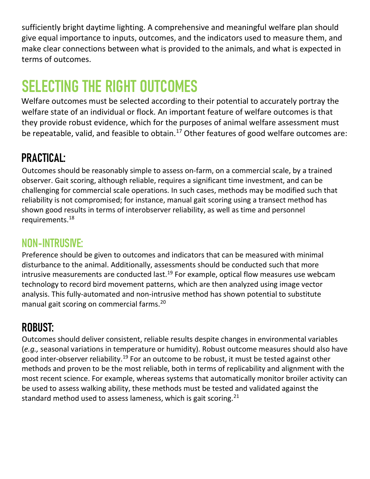sufficiently bright daytime lighting. A comprehensive and meaningful welfare plan should give equal importance to inputs, outcomes, and the indicators used to measure them, and make clear connections between what is provided to the animals, and what is expected in terms of outcomes.

## SELECTING THE RIGHT OUTCOMES

Welfare outcomes must be selected according to their potential to accurately portray the welfare state of an individual or flock. An important feature of welfare outcomes is that they provide robust evidence, which for the purposes of animal welfare assessment must be repeatable, valid, and feasible to obtain.<sup>17</sup> Other features of good welfare outcomes are:

#### PRACTICAL:

Outcomes should be reasonably simple to assess on-farm, on a commercial scale, by a trained observer. Gait scoring, although reliable, requires a significant time investment, and can be challenging for commercial scale operations. In such cases, methods may be modified such that reliability is not compromised; for instance, manual gait scoring using a transect method has shown good results in terms of interobserver reliability, as well as time and personnel requirements.<sup>18</sup>

#### NON-INTRUSIVE:

Preference should be given to outcomes and indicators that can be measured with minimal disturbance to the animal. Additionally, assessments should be conducted such that more intrusive measurements are conducted last.<sup>19</sup> For example, optical flow measures use webcam technology to record bird movement patterns, which are then analyzed using image vector analysis. This fully-automated and non-intrusive method has shown potential to substitute manual gait scoring on commercial farms.<sup>20</sup>

#### ROBUST:

Outcomes should deliver consistent, reliable results despite changes in environmental variables (e.g., seasonal variations in temperature or humidity). Robust outcome measures should also have good inter-observer reliability.<sup>19</sup> For an outcome to be robust, it must be tested against other methods and proven to be the most reliable, both in terms of replicability and alignment with the most recent science. For example, whereas systems that automatically monitor broiler activity can be used to assess walking ability, these methods must be tested and validated against the standard method used to assess lameness, which is gait scoring.<sup>21</sup>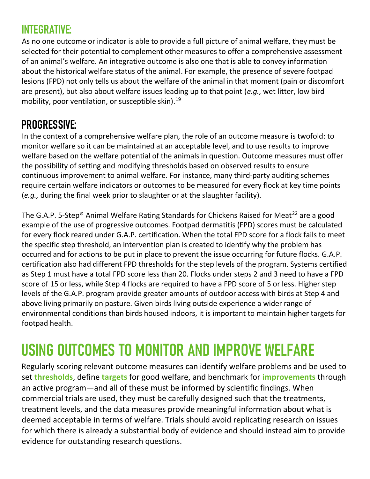#### INTEGRATIVE:

As no one outcome or indicator is able to provide a full picture of animal welfare, they must be selected for their potential to complement other measures to offer a comprehensive assessment of an animal's welfare. An integrative outcome is also one that is able to convey information about the historical welfare status of the animal. For example, the presence of severe footpad lesions (FPD) not only tells us about the welfare of the animal in that moment (pain or discomfort are present), but also about welfare issues leading up to that point (e.g., wet litter, low bird mobility, poor ventilation, or susceptible skin).<sup>19</sup>

#### PROGRESSIVE:

In the context of a comprehensive welfare plan, the role of an outcome measure is twofold: to monitor welfare so it can be maintained at an acceptable level, and to use results to improve welfare based on the welfare potential of the animals in question. Outcome measures must offer the possibility of setting and modifying thresholds based on observed results to ensure continuous improvement to animal welfare. For instance, many third-party auditing schemes require certain welfare indicators or outcomes to be measured for every flock at key time points (e.g., during the final week prior to slaughter or at the slaughter facility).

The G.A.P. 5-Step<sup>®</sup> Animal Welfare Rating Standards for Chickens Raised for Meat<sup>22</sup> are a good example of the use of progressive outcomes. Footpad dermatitis (FPD) scores must be calculated for every flock reared under G.A.P. certification. When the total FPD score for a flock fails to meet the specific step threshold, an intervention plan is created to identify why the problem has occurred and for actions to be put in place to prevent the issue occurring for future flocks. G.A.P. certification also had different FPD thresholds for the step levels of the program. Systems certified as Step 1 must have a total FPD score less than 20. Flocks under steps 2 and 3 need to have a FPD score of 15 or less, while Step 4 flocks are required to have a FPD score of 5 or less. Higher step levels of the G.A.P. program provide greater amounts of outdoor access with birds at Step 4 and above living primarily on pasture. Given birds living outside experience a wider range of environmental conditions than birds housed indoors, it is important to maintain higher targets for footpad health.

## USING OUTCOMES TO MONITOR AND IMPROVE WELFARE

Regularly scoring relevant outcome measures can identify welfare problems and be used to set thresholds, define targets for good welfare, and benchmark for *improvements* through an active program—and all of these must be informed by scientific findings. When commercial trials are used, they must be carefully designed such that the treatments, treatment levels, and the data measures provide meaningful information about what is deemed acceptable in terms of welfare. Trials should avoid replicating research on issues for which there is already a substantial body of evidence and should instead aim to provide evidence for outstanding research questions.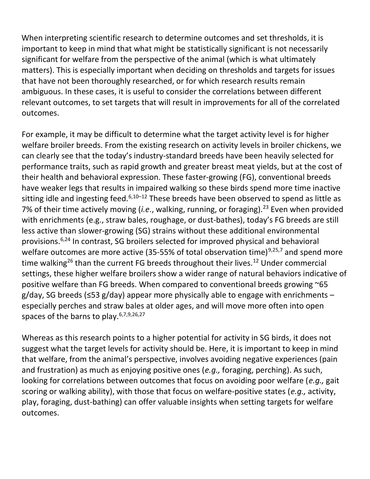When interpreting scientific research to determine outcomes and set thresholds, it is important to keep in mind that what might be statistically significant is not necessarily significant for welfare from the perspective of the animal (which is what ultimately matters). This is especially important when deciding on thresholds and targets for issues that have not been thoroughly researched, or for which research results remain ambiguous. In these cases, it is useful to consider the correlations between different relevant outcomes, to set targets that will result in improvements for all of the correlated outcomes.

For example, it may be difficult to determine what the target activity level is for higher welfare broiler breeds. From the existing research on activity levels in broiler chickens, we can clearly see that the today's industry-standard breeds have been heavily selected for performance traits, such as rapid growth and greater breast meat yields, but at the cost of their health and behavioral expression. These faster-growing (FG), conventional breeds have weaker legs that results in impaired walking so these birds spend more time inactive sitting idle and ingesting feed. $6,10-12$  These breeds have been observed to spend as little as 7% of their time actively moving (i.e., walking, running, or foraging).<sup>23</sup> Even when provided with enrichments (e.g., straw bales, roughage, or dust-bathes), today's FG breeds are still less active than slower-growing (SG) strains without these additional environmental provisions.6,24 In contrast, SG broilers selected for improved physical and behavioral welfare outcomes are more active (35-55% of total observation time)<sup>9,25,7</sup> and spend more time walking<sup>26</sup> than the current FG breeds throughout their lives.<sup>12</sup> Under commercial settings, these higher welfare broilers show a wider range of natural behaviors indicative of positive welfare than FG breeds. When compared to conventional breeds growing ~65  $g/day$ , SG breeds ( $\leq$ 53 g/day) appear more physically able to engage with enrichments – especially perches and straw bales at older ages, and will move more often into open spaces of the barns to play.  $6,7,9,26,27$ 

Whereas as this research points to a higher potential for activity in SG birds, it does not suggest what the target levels for activity should be. Here, it is important to keep in mind that welfare, from the animal's perspective, involves avoiding negative experiences (pain and frustration) as much as enjoying positive ones (e.g., foraging, perching). As such, looking for correlations between outcomes that focus on avoiding poor welfare (e.g., gait scoring or walking ability), with those that focus on welfare-positive states (e.g., activity, play, foraging, dust-bathing) can offer valuable insights when setting targets for welfare outcomes.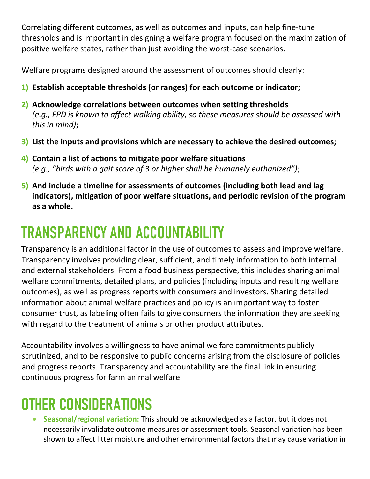Correlating different outcomes, as well as outcomes and inputs, can help fine-tune thresholds and is important in designing a welfare program focused on the maximization of positive welfare states, rather than just avoiding the worst-case scenarios.

Welfare programs designed around the assessment of outcomes should clearly:

- 1) Establish acceptable thresholds (or ranges) for each outcome or indicator;
- 2) Acknowledge correlations between outcomes when setting thresholds (e.g., FPD is known to affect walking ability, so these measures should be assessed with this in mind);
- 3) List the inputs and provisions which are necessary to achieve the desired outcomes;
- 4) Contain a list of actions to mitigate poor welfare situations (e.g., "birds with a gait score of 3 or higher shall be humanely euthanized");
- 5) And include a timeline for assessments of outcomes (including both lead and lag indicators), mitigation of poor welfare situations, and periodic revision of the program as a whole.

## TRANSPARENCY AND ACCOUNTABILITY

Transparency is an additional factor in the use of outcomes to assess and improve welfare. Transparency involves providing clear, sufficient, and timely information to both internal and external stakeholders. From a food business perspective, this includes sharing animal welfare commitments, detailed plans, and policies (including inputs and resulting welfare outcomes), as well as progress reports with consumers and investors. Sharing detailed information about animal welfare practices and policy is an important way to foster consumer trust, as labeling often fails to give consumers the information they are seeking with regard to the treatment of animals or other product attributes.

Accountability involves a willingness to have animal welfare commitments publicly scrutinized, and to be responsive to public concerns arising from the disclosure of policies and progress reports. Transparency and accountability are the final link in ensuring continuous progress for farm animal welfare.

## OTHER CONSIDERATIONS

• Seasonal/regional variation: This should be acknowledged as a factor, but it does not necessarily invalidate outcome measures or assessment tools. Seasonal variation has been shown to affect litter moisture and other environmental factors that may cause variation in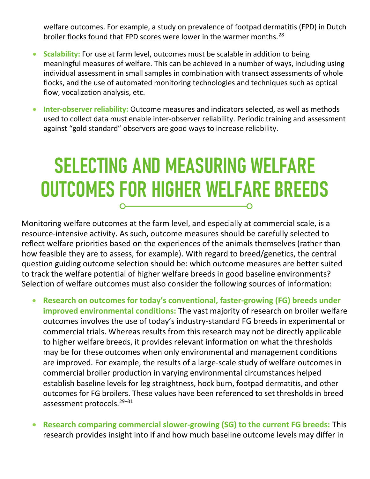welfare outcomes. For example, a study on prevalence of footpad dermatitis (FPD) in Dutch broiler flocks found that FPD scores were lower in the warmer months.<sup>28</sup>

- Scalability: For use at farm level, outcomes must be scalable in addition to being meaningful measures of welfare. This can be achieved in a number of ways, including using individual assessment in small samples in combination with transect assessments of whole flocks, and the use of automated monitoring technologies and techniques such as optical flow, vocalization analysis, etc.
- Inter-observer reliability: Outcome measures and indicators selected, as well as methods used to collect data must enable inter-observer reliability. Periodic training and assessment against "gold standard" observers are good ways to increase reliability.

### SELECTING AND MEASURING WELFARE OUTCOMES FOR HIGHER WELFARE BREEDS O

Monitoring welfare outcomes at the farm level, and especially at commercial scale, is a resource-intensive activity. As such, outcome measures should be carefully selected to reflect welfare priorities based on the experiences of the animals themselves (rather than how feasible they are to assess, for example). With regard to breed/genetics, the central question guiding outcome selection should be: which outcome measures are better suited to track the welfare potential of higher welfare breeds in good baseline environments? Selection of welfare outcomes must also consider the following sources of information:

- Research on outcomes for today's conventional, faster-growing (FG) breeds under improved environmental conditions: The vast majority of research on broiler welfare outcomes involves the use of today's industry-standard FG breeds in experimental or commercial trials. Whereas results from this research may not be directly applicable to higher welfare breeds, it provides relevant information on what the thresholds may be for these outcomes when only environmental and management conditions are improved. For example, the results of a large-scale study of welfare outcomes in commercial broiler production in varying environmental circumstances helped establish baseline levels for leg straightness, hock burn, footpad dermatitis, and other outcomes for FG broilers. These values have been referenced to set thresholds in breed assessment protocols.<sup>29-31</sup>
- Research comparing commercial slower-growing (SG) to the current FG breeds: This research provides insight into if and how much baseline outcome levels may differ in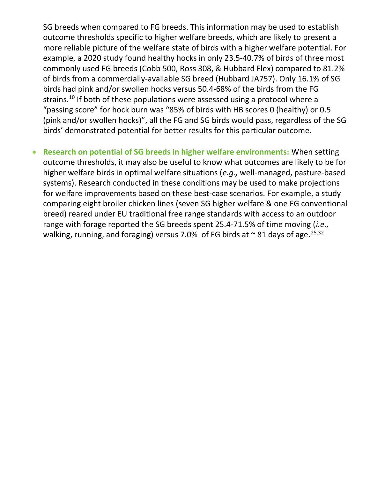SG breeds when compared to FG breeds. This information may be used to establish outcome thresholds specific to higher welfare breeds, which are likely to present a more reliable picture of the welfare state of birds with a higher welfare potential. For example, a 2020 study found healthy hocks in only 23.5-40.7% of birds of three most commonly used FG breeds (Cobb 500, Ross 308, & Hubbard Flex) compared to 81.2% of birds from a commercially-available SG breed (Hubbard JA757). Only 16.1% of SG birds had pink and/or swollen hocks versus 50.4-68% of the birds from the FG strains.<sup>10</sup> If both of these populations were assessed using a protocol where a "passing score" for hock burn was "85% of birds with HB scores 0 (healthy) or 0.5 (pink and/or swollen hocks)", all the FG and SG birds would pass, regardless of the SG birds' demonstrated potential for better results for this particular outcome.

• Research on potential of SG breeds in higher welfare environments: When setting outcome thresholds, it may also be useful to know what outcomes are likely to be for higher welfare birds in optimal welfare situations (e.g., well-managed, pasture-based systems). Research conducted in these conditions may be used to make projections for welfare improvements based on these best-case scenarios. For example, a study comparing eight broiler chicken lines (seven SG higher welfare & one FG conventional breed) reared under EU traditional free range standards with access to an outdoor range with forage reported the SG breeds spent 25.4-71.5% of time moving (i.e., walking, running, and foraging) versus 7.0% of FG birds at  $\sim$  81 days of age.  $25,32$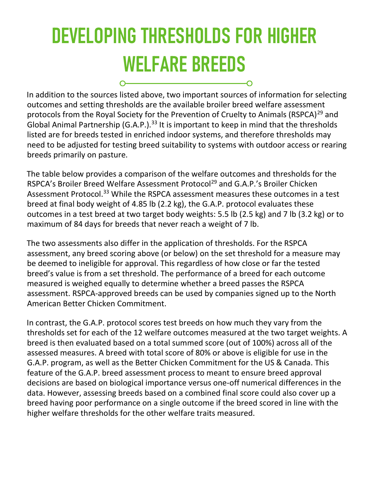## DEVELOPING THRESHOLDS FOR HIGHER WELFARE BREEDS

 $\sim$ 

In addition to the sources listed above, two important sources of information for selecting outcomes and setting thresholds are the available broiler breed welfare assessment protocols from the Royal Society for the Prevention of Cruelty to Animals (RSPCA)<sup>29</sup> and Global Animal Partnership (G.A.P.).<sup>33</sup> It is important to keep in mind that the thresholds listed are for breeds tested in enriched indoor systems, and therefore thresholds may need to be adjusted for testing breed suitability to systems with outdoor access or rearing breeds primarily on pasture.

-0

The table below provides a comparison of the welfare outcomes and thresholds for the RSPCA's Broiler Breed Welfare Assessment Protocol<sup>29</sup> and G.A.P.'s Broiler Chicken Assessment Protocol.<sup>33</sup> While the RSPCA assessment measures these outcomes in a test breed at final body weight of 4.85 lb (2.2 kg), the G.A.P. protocol evaluates these outcomes in a test breed at two target body weights: 5.5 lb (2.5 kg) and 7 lb (3.2 kg) or to maximum of 84 days for breeds that never reach a weight of 7 lb.

The two assessments also differ in the application of thresholds. For the RSPCA assessment, any breed scoring above (or below) on the set threshold for a measure may be deemed to ineligible for approval. This regardless of how close or far the tested breed's value is from a set threshold. The performance of a breed for each outcome measured is weighed equally to determine whether a breed passes the RSPCA assessment. RSPCA-approved breeds can be used by companies signed up to the North American Better Chicken Commitment.

In contrast, the G.A.P. protocol scores test breeds on how much they vary from the thresholds set for each of the 12 welfare outcomes measured at the two target weights. A breed is then evaluated based on a total summed score (out of 100%) across all of the assessed measures. A breed with total score of 80% or above is eligible for use in the G.A.P. program, as well as the Better Chicken Commitment for the US & Canada. This feature of the G.A.P. breed assessment process to meant to ensure breed approval decisions are based on biological importance versus one-off numerical differences in the data. However, assessing breeds based on a combined final score could also cover up a breed having poor performance on a single outcome if the breed scored in line with the higher welfare thresholds for the other welfare traits measured.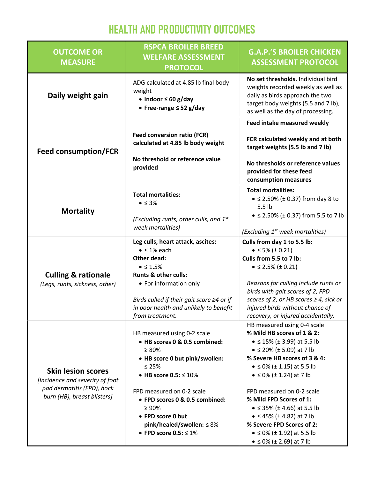#### HEALTH AND PRODUCTIVITY OUTCOMES

| <b>OUTCOME OR</b><br><b>MEASURE</b>                                                                                       | <b>RSPCA BROILER BREED</b><br><b>WELFARE ASSESSMENT</b><br><b>PROTOCOL</b>                                                                                                                                                                                                                                                       | <b>G.A.P.'S BROILER CHICKEN</b><br><b>ASSESSMENT PROTOCOL</b>                                                                                                                                                                                                                                                                                                                                                                                                                                      |
|---------------------------------------------------------------------------------------------------------------------------|----------------------------------------------------------------------------------------------------------------------------------------------------------------------------------------------------------------------------------------------------------------------------------------------------------------------------------|----------------------------------------------------------------------------------------------------------------------------------------------------------------------------------------------------------------------------------------------------------------------------------------------------------------------------------------------------------------------------------------------------------------------------------------------------------------------------------------------------|
| Daily weight gain                                                                                                         | ADG calculated at 4.85 lb final body<br>weight<br>• Indoor $\leq 60$ g/day<br>• Free-range $\leq$ 52 g/day                                                                                                                                                                                                                       | No set thresholds. Individual bird<br>weights recorded weekly as well as<br>daily as birds approach the two<br>target body weights (5.5 and 7 lb),<br>as well as the day of processing.                                                                                                                                                                                                                                                                                                            |
| <b>Feed consumption/FCR</b>                                                                                               | <b>Feed conversion ratio (FCR)</b><br>calculated at 4.85 lb body weight<br>No threshold or reference value<br>provided                                                                                                                                                                                                           | Feed intake measured weekly<br>FCR calculated weekly and at both<br>target weights (5.5 lb and 7 lb)<br>No thresholds or reference values<br>provided for these feed<br>consumption measures                                                                                                                                                                                                                                                                                                       |
| <b>Mortality</b>                                                                                                          | <b>Total mortalities:</b><br>$\bullet \leq 3\%$<br>(Excluding runts, other culls, and $1^{st}$<br>week mortalities)                                                                                                                                                                                                              | <b>Total mortalities:</b><br>$\bullet$ ≤ 2.50% (± 0.37) from day 8 to<br>5.5 <sub>1b</sub><br>• ≤ 2.50% (± 0.37) from 5.5 to 7 lb<br>(Excluding 1 <sup>st</sup> week mortalities)                                                                                                                                                                                                                                                                                                                  |
| <b>Culling &amp; rationale</b><br>(Legs, runts, sickness, other)                                                          | Leg culls, heart attack, ascites:<br>$\bullet$ $\leq$ 1% each<br><b>Other dead:</b><br>$\bullet$ $\leq$ 1.5%<br><b>Runts &amp; other culls:</b><br>• For information only<br>Birds culled if their gait score $\geq 4$ or if<br>in poor health and unlikely to benefit<br>from treatment.                                        | Culls from day 1 to 5.5 lb:<br>• $\leq$ 5% ( $\pm$ 0.21)<br>Culls from 5.5 to 7 lb:<br>• $\leq$ 2.5% ( $\pm$ 0.21)<br>Reasons for culling include runts or<br>birds with gait scores of 2, FPD<br>scores of 2, or HB scores $\geq$ 4, sick or<br>injured birds without chance of<br>recovery, or injured accidentally.                                                                                                                                                                             |
| <b>Skin lesion scores</b><br>[Incidence and severity of foot<br>pad dermatitis (FPD), hock<br>burn (HB), breast blisters] | HB measured using 0-2 scale<br>• HB scores 0 & 0.5 combined:<br>$\geq 80\%$<br>• HB score 0 but pink/swollen:<br>$\leq 25\%$<br>• HB score $0.5: \leq 10\%$<br>FPD measured on 0-2 scale<br>• FPD scores 0 & 0.5 combined:<br>$\geq 90\%$<br>• FPD score 0 but<br>pink/healed/swollen: $\leq 8\%$<br>• FPD score $0.5: \leq 1\%$ | HB measured using 0-4 scale<br>% Mild HB scores of 1 & 2:<br>• $\leq$ 15% ( $\pm$ 3.99) at 5.5 lb<br>• $\leq$ 20% ( $\pm$ 5.09) at 7 lb<br>% Severe HB scores of 3 & 4:<br>• $\leq$ 0% ( $\pm$ 1.15) at 5.5 lb<br>• $\leq$ 0% ( $\pm$ 1.24) at 7 lb<br>FPD measured on 0-2 scale<br>% Mild FPD Scores of 1:<br>• $\leq$ 35% ( $\pm$ 4.66) at 5.5 lb<br>• $\leq$ 45% ( $\pm$ 4.82) at 7 lb<br>% Severe FPD Scores of 2:<br>• $\leq$ 0% ( $\pm$ 1.92) at 5.5 lb<br>• $\leq$ 0% ( $\pm$ 2.69) at 7 lb |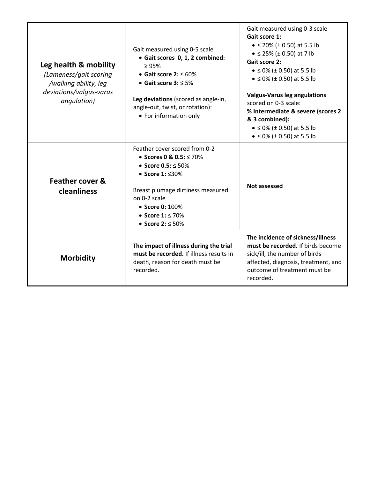| Leg health & mobility<br>(Lameness/gait scoring<br>/walking ability, leg<br>deviations/valgus-varus<br>angulation) | Gait measured using 0-5 scale<br>• Gait scores 0, 1, 2 combined:<br>$\geq 95\%$<br>• Gait score $2: \leq 60\%$<br>• Gait score $3: \leq 5\%$<br>Leg deviations (scored as angle-in,<br>angle-out, twist, or rotation):<br>• For information only | Gait measured using 0-3 scale<br>Gait score 1:<br>• $\leq$ 20% (± 0.50) at 5.5 lb<br>• $\leq$ 25% ( $\pm$ 0.50) at 7 lb<br><b>Gait score 2:</b><br>• $\leq$ 0% ( $\pm$ 0.50) at 5.5 lb<br>• $\leq$ 0% (± 0.50) at 5.5 lb<br><b>Valgus-Varus leg angulations</b><br>scored on 0-3 scale:<br>% Intermediate & severe (scores 2<br>& 3 combined):<br>• $\leq$ 0% (± 0.50) at 5.5 lb<br>• $\leq$ 0% (± 0.50) at 5.5 lb |
|--------------------------------------------------------------------------------------------------------------------|--------------------------------------------------------------------------------------------------------------------------------------------------------------------------------------------------------------------------------------------------|--------------------------------------------------------------------------------------------------------------------------------------------------------------------------------------------------------------------------------------------------------------------------------------------------------------------------------------------------------------------------------------------------------------------|
| Feather cover &<br>cleanliness                                                                                     | Feather cover scored from 0-2<br>• Scores 0 & 0.5: $\leq$ 70%<br>• Score $0.5: \leq 50\%$<br>• Score $1: \leq 30\%$<br>Breast plumage dirtiness measured<br>on 0-2 scale<br>• Score 0: 100%<br>• Score $1: \le 70\%$<br>● Score 2: ≤ 50%         | <b>Not assessed</b>                                                                                                                                                                                                                                                                                                                                                                                                |
| <b>Morbidity</b>                                                                                                   | The impact of illness during the trial<br>must be recorded. If illness results in<br>death, reason for death must be<br>recorded.                                                                                                                | The incidence of sickness/illness<br>must be recorded. If birds become<br>sick/ill, the number of birds<br>affected, diagnosis, treatment, and<br>outcome of treatment must be<br>recorded.                                                                                                                                                                                                                        |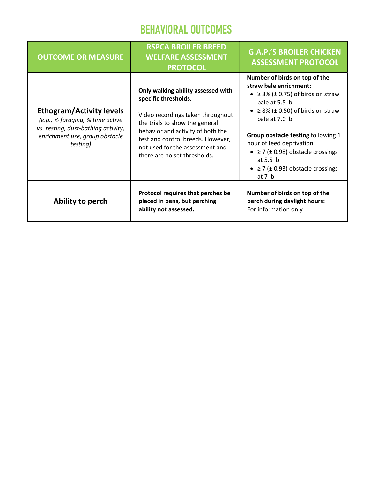#### BEHAVIORAL OUTCOMES

| <b>OUTCOME OR MEASURE</b>                                                                                                                                | <b>RSPCA BROILER BREED</b><br><b>WELFARE ASSESSMENT</b><br><b>PROTOCOL</b>                                                                                                                                                                                                     | <b>G.A.P.'S BROILER CHICKEN</b><br><b>ASSESSMENT PROTOCOL</b>                                                                                                                                                                                                                                                                                                                                   |
|----------------------------------------------------------------------------------------------------------------------------------------------------------|--------------------------------------------------------------------------------------------------------------------------------------------------------------------------------------------------------------------------------------------------------------------------------|-------------------------------------------------------------------------------------------------------------------------------------------------------------------------------------------------------------------------------------------------------------------------------------------------------------------------------------------------------------------------------------------------|
| <b>Ethogram/Activity levels</b><br>(e.g., % foraging, % time active<br>vs. resting, dust-bathing activity,<br>enrichment use, group obstacle<br>testing) | Only walking ability assessed with<br>specific thresholds.<br>Video recordings taken throughout<br>the trials to show the general<br>behavior and activity of both the<br>test and control breeds. However,<br>not used for the assessment and<br>there are no set thresholds. | Number of birds on top of the<br>straw bale enrichment:<br>• $\geq$ 8% ( $\pm$ 0.75) of birds on straw<br>bale at 5.5 lb<br>$\geq$ 8% ( $\pm$ 0.50) of birds on straw<br>$\bullet$<br>bale at 7.0 lb<br>Group obstacle testing following 1<br>hour of feed deprivation:<br>• $\geq$ 7 ( $\pm$ 0.98) obstacle crossings<br>at $5.5$ lb<br>• $\geq$ 7 ( $\pm$ 0.93) obstacle crossings<br>at 7 lb |
| Ability to perch                                                                                                                                         | Protocol requires that perches be<br>placed in pens, but perching<br>ability not assessed.                                                                                                                                                                                     | Number of birds on top of the<br>perch during daylight hours:<br>For information only                                                                                                                                                                                                                                                                                                           |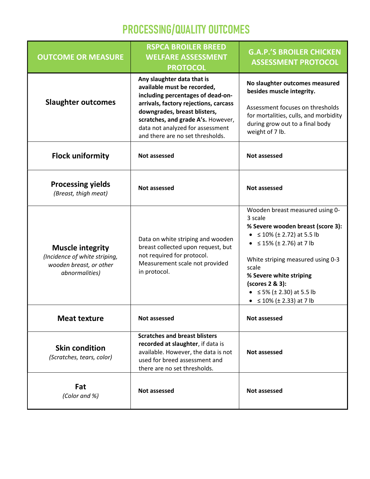#### PROCESSING/QUALITY OUTCOMES

| <b>OUTCOME OR MEASURE</b>                                                                             | <b>RSPCA BROILER BREED</b><br><b>WELFARE ASSESSMENT</b><br><b>PROTOCOL</b>                                                                                                          | <b>G.A.P.'S BROILER CHICKEN</b><br><b>ASSESSMENT PROTOCOL</b>                                                                                                                                                                                                                                                                       |
|-------------------------------------------------------------------------------------------------------|-------------------------------------------------------------------------------------------------------------------------------------------------------------------------------------|-------------------------------------------------------------------------------------------------------------------------------------------------------------------------------------------------------------------------------------------------------------------------------------------------------------------------------------|
|                                                                                                       | Any slaughter data that is<br>available must be recorded,<br>including percentages of dead-on-                                                                                      | No slaughter outcomes measured<br>besides muscle integrity.                                                                                                                                                                                                                                                                         |
| <b>Slaughter outcomes</b>                                                                             | arrivals, factory rejections, carcass<br>downgrades, breast blisters,<br>scratches, and grade A's. However,<br>data not analyzed for assessment<br>and there are no set thresholds. | Assessment focuses on thresholds<br>for mortalities, culls, and morbidity<br>during grow out to a final body<br>weight of 7 lb.                                                                                                                                                                                                     |
| <b>Flock uniformity</b>                                                                               | Not assessed                                                                                                                                                                        | Not assessed                                                                                                                                                                                                                                                                                                                        |
| <b>Processing yields</b><br>(Breast, thigh meat)                                                      | Not assessed                                                                                                                                                                        | Not assessed                                                                                                                                                                                                                                                                                                                        |
| <b>Muscle integrity</b><br>(Incidence of white striping,<br>wooden breast, or other<br>abnormalities) | Data on white striping and wooden<br>breast collected upon request, but<br>not required for protocol.<br>Measurement scale not provided<br>in protocol.                             | Wooden breast measured using 0-<br>3 scale<br>% Severe wooden breast (score 3):<br>• $\leq 10\%$ (± 2.72) at 5.5 lb<br>• $\leq$ 15% ( $\pm$ 2.76) at 7 lb<br>White striping measured using 0-3<br>scale<br>% Severe white striping<br>(scores 2 & 3):<br>• $\leq$ 5% ( $\pm$ 2.30) at 5.5 lb<br>• $\leq 10\%$ ( $\pm$ 2.33) at 7 lb |
| <b>Meat texture</b>                                                                                   | <b>Not assessed</b>                                                                                                                                                                 | Not assessed                                                                                                                                                                                                                                                                                                                        |
| <b>Skin condition</b><br>(Scratches, tears, color)                                                    | <b>Scratches and breast blisters</b><br>recorded at slaughter, if data is<br>available. However, the data is not<br>used for breed assessment and<br>there are no set thresholds.   | Not assessed                                                                                                                                                                                                                                                                                                                        |
| Fat<br>(Color and %)                                                                                  | Not assessed                                                                                                                                                                        | Not assessed                                                                                                                                                                                                                                                                                                                        |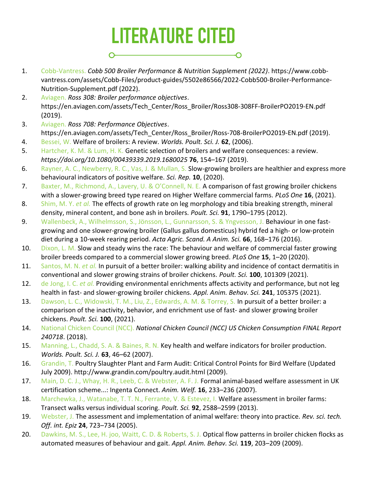#### LITERATURE CITED O

- 1. Cobb-Vantress. Cobb 500 Broiler Performance & Nutrition Supplement (2022). https://www.cobbvantress.com/assets/Cobb-Files/product-guides/5502e86566/2022-Cobb500-Broiler-Performance-Nutrition-Supplement.pdf (2022).
- 2. Aviagen. Ross 308: Broiler performance objectives. https://en.aviagen.com/assets/Tech\_Center/Ross\_Broiler/Ross308-308FF-BroilerPO2019-EN.pdf (2019).
- 3. Aviagen. Ross 708: Performance Objectives. https://en.aviagen.com/assets/Tech\_Center/Ross\_Broiler/Ross-708-BroilerPO2019-EN.pdf (2019).
- 4. Bessei, W. Welfare of broilers: A review. Worlds. Poult. Sci. J. 62, (2006).
- 5. Hartcher, K. M. & Lum, H. K. Genetic selection of broilers and welfare consequences: a review. https://doi.org/10.1080/00439339.2019.1680025 76, 154–167 (2019).
- 6. Rayner, A. C., Newberry, R. C., Vas, J. & Mullan, S. Slow-growing broilers are healthier and express more behavioural indicators of positive welfare. Sci. Rep. 10, (2020).
- 7. Baxter, M., Richmond, A., Lavery, U. & O'Connell, N. E. A comparison of fast growing broiler chickens with a slower-growing breed type reared on Higher Welfare commercial farms. PLoS One 16, (2021).
- 8. Shim, M. Y. et al. The effects of growth rate on leg morphology and tibia breaking strength, mineral density, mineral content, and bone ash in broilers. Poult. Sci. 91, 1790-1795 (2012).
- 9. Wallenbeck, A., Wilhelmsson, S., Jönsson, L., Gunnarsson, S. & Yngvesson, J. Behaviour in one fastgrowing and one slower-growing broiler (Gallus gallus domesticus) hybrid fed a high- or low-protein diet during a 10-week rearing period. Acta Agric. Scand. A Anim. Sci. 66, 168-176 (2016).
- 10. Dixon, L. M. Slow and steady wins the race: The behaviour and welfare of commercial faster growing broiler breeds compared to a commercial slower growing breed. PLoS One 15, 1-20 (2020).
- 11. Santos, M. N. et al. In pursuit of a better broiler: walking ability and incidence of contact dermatitis in conventional and slower growing strains of broiler chickens. Poult. Sci. 100, 101309 (2021).
- 12. de Jong, I. C. et al. Providing environmental enrichments affects activity and performance, but not leg health in fast- and slower-growing broiler chickens. Appl. Anim. Behav. Sci. 241, 105375 (2021).
- 13. Dawson, L. C., Widowski, T. M., Liu, Z., Edwards, A. M. & Torrey, S. In pursuit of a better broiler: a comparison of the inactivity, behavior, and enrichment use of fast- and slower growing broiler chickens. Poult. Sci. 100, (2021).
- 14. National Chicken Council (NCC). National Chicken Council (NCC) US Chicken Consumption FINAL Report 240718. (2018).
- 15. Manning, L., Chadd, S. A. & Baines, R. N. Key health and welfare indicators for broiler production. Worlds. Poult. Sci. J. 63, 46–62 (2007).
- 16. Grandin, T. Poultry Slaughter Plant and Farm Audit: Critical Control Points for Bird Welfare (Updated July 2009). http://www.grandin.com/poultry.audit.html (2009).
- 17. Main, D. C. J., Whay, H. R., Leeb, C. & Webster, A. F. J. Formal animal-based welfare assessment in UK certification scheme...: Ingenta Connect. Anim. Welf. 16, 233–236 (2007).
- 18. Marchewka, J., Watanabe, T. T. N., Ferrante, V. & Estevez, I. Welfare assessment in broiler farms: Transect walks versus individual scoring. Poult. Sci. 92, 2588–2599 (2013).
- 19. Webster, J. The assessment and implementation of animal welfare: theory into practice. Rev. sci. tech. Off. int. Epiz 24, 723–734 (2005).
- 20. Dawkins, M. S., Lee, H. joo, Waitt, C. D. & Roberts, S. J. Optical flow patterns in broiler chicken flocks as automated measures of behaviour and gait. Appl. Anim. Behav. Sci. 119, 203-209 (2009).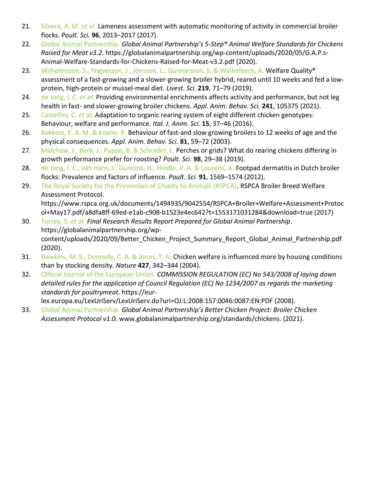- 21. Silvera, A. M. et al. Lameness assessment with automatic monitoring of activity in commercial broiler flocks. Poult. Sci. 96, 2013–2017 (2017).
- 22. Global Animal Partnership. Global Animal Partnership's 5-Step® Animal Welfare Standards for Chickens Raised for Meat v3.2. https://globalanimalpartnership.org/wp-content/uploads/2020/05/G.A.P.s-Animal-Welfare-Standards-for-Chickens-Raised-for-Meat-v3.2.pdf (2020).
- 23. Wilhelmsson, S., Yngvesson, J., Jönsson, L., Gunnarsson, S. & Wallenbeck, A. Welfare Quality® assessment of a fast-growing and a slower-growing broiler hybrid, reared until 10 weeks and fed a lowprotein, high-protein or mussel-meal diet. Livest. Sci. 219, 71–79 (2019).
- 24. de Jong, I. C. et al. Providing environmental enrichments affects activity and performance, but not leg health in fast- and slower-growing broiler chickens. Appl. Anim. Behav. Sci. 241, 105375 (2021).
- 25. Castellini, C. et al. Adaptation to organic rearing system of eight different chicken genotypes: Behaviour, welfare and performance. Ital. J. Anim. Sci. 15, 37-46 (2016).
- 26. Bokkers, E. A. M. & Koene, P. Behaviour of fast-and slow growing broilers to 12 weeks of age and the physical consequences. Appl. Anim. Behav. Sci. 81, 59–72 (2003).
- 27. Malchow, J., Berk, J., Puppe, B. & Schrader, L. Perches or grids? What do rearing chickens differing in growth performance prefer for roosting? Poult. Sci. 98, 29–38 (2019).
- 28. de Jong, I. C., van Harn, J., Gunnink, H., Hindle, V. A. & Lourens, A. Footpad dermatitis in Dutch broiler flocks: Prevalence and factors of influence. Poult. Sci. 91, 1569-1574 (2012).
- 29. The Royal Society for the Prevention of Cruelty to Animals (RSPCA). RSPCA Broiler Breed Welfare Assessment Protocol. https://www.rspca.org.uk/documents/1494935/9042554/RSPCA+Broiler+Welfare+Assessment+Protoc
- ol+May17.pdf/a8dfa8ff-69ed-e1ab-c908-b1523e4ec642?t=1553171031284&download=true (2017) 30. Torrey, S. et al. Final Research Results Report Prepared for Global Animal Partnership. https://globalanimalpartnership.org/wpcontent/uploads/2020/09/Better Chicken Project Summary Report Global Animal Partnership.pdf (2020).
- 31. Dawkins, M. S., Donnelly, C. A. & Jones, T. A. Chicken welfare is influenced more by housing conditions than by stocking density. Nature 427, 342-344 (2004).
- 32. Official Journal of the European Union. COMMISSION REGULATION (EC) No 543/2008 of laying down detailed rules for the application of Council Regulation (EC) No 1234/2007 as regards the marketing standards for poultrymeat. https://eur
	- lex.europa.eu/LexUriServ/LexUriServ.do?uri=OJ:L:2008:157:0046:0087:EN:PDF (2008).
- 33. Global Animal Partnership. Global Animal Partnership's Better Chicken Project: Broiler Chicken Assessment Protocol v1.0. www.globalanimalpartnership.org/standards/chickens. (2021).